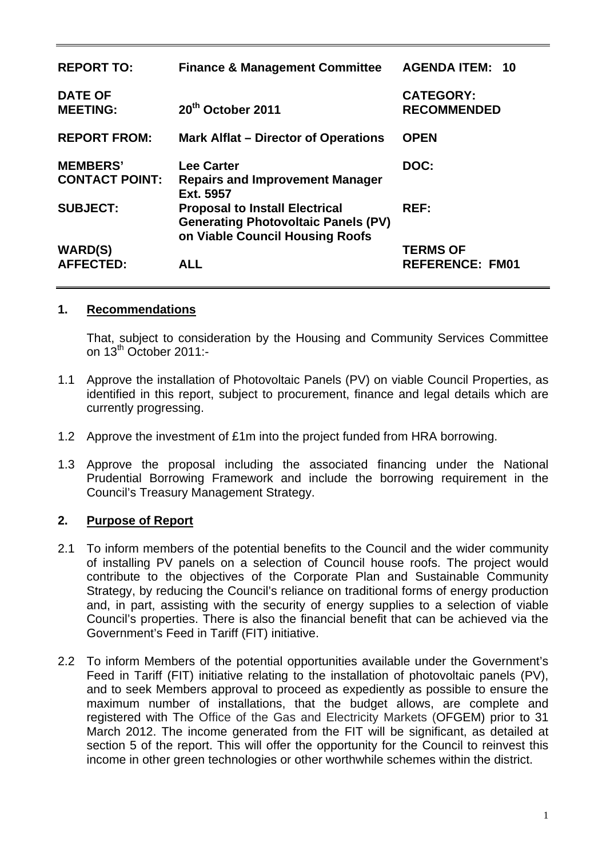| <b>REPORT TO:</b>                        | <b>Finance &amp; Management Committee</b>                                                                              | <b>AGENDA ITEM: 10</b>                    |
|------------------------------------------|------------------------------------------------------------------------------------------------------------------------|-------------------------------------------|
| <b>DATE OF</b><br><b>MEETING:</b>        | 20 <sup>th</sup> October 2011                                                                                          | <b>CATEGORY:</b><br><b>RECOMMENDED</b>    |
| <b>REPORT FROM:</b>                      | <b>Mark Alflat – Director of Operations</b>                                                                            | <b>OPEN</b>                               |
| <b>MEMBERS'</b><br><b>CONTACT POINT:</b> | <b>Lee Carter</b><br><b>Repairs and Improvement Manager</b><br>Ext. 5957                                               | DOC:                                      |
| <b>SUBJECT:</b>                          | <b>Proposal to Install Electrical</b><br><b>Generating Photovoltaic Panels (PV)</b><br>on Viable Council Housing Roofs | REF:                                      |
| <b>WARD(S)</b><br><b>AFFECTED:</b>       | <b>ALL</b>                                                                                                             | <b>TERMS OF</b><br><b>REFERENCE: FM01</b> |

#### **1. Recommendations**

That, subject to consideration by the Housing and Community Services Committee on 13<sup>th</sup> October 2011:-

- 1.1 Approve the installation of Photovoltaic Panels (PV) on viable Council Properties, as identified in this report, subject to procurement, finance and legal details which are currently progressing.
- 1.2 Approve the investment of £1m into the project funded from HRA borrowing.
- 1.3 Approve the proposal including the associated financing under the National Prudential Borrowing Framework and include the borrowing requirement in the Council's Treasury Management Strategy.

## **2. Purpose of Report**

- 2.1 To inform members of the potential benefits to the Council and the wider community of installing PV panels on a selection of Council house roofs. The project would contribute to the objectives of the Corporate Plan and Sustainable Community Strategy, by reducing the Council's reliance on traditional forms of energy production and, in part, assisting with the security of energy supplies to a selection of viable Council's properties. There is also the financial benefit that can be achieved via the Government's Feed in Tariff (FIT) initiative.
- 2.2 To inform Members of the potential opportunities available under the Government's Feed in Tariff (FIT) initiative relating to the installation of photovoltaic panels (PV), and to seek Members approval to proceed as expediently as possible to ensure the maximum number of installations, that the budget allows, are complete and registered with The Office of the Gas and Electricity Markets (OFGEM) prior to 31 March 2012. The income generated from the FIT will be significant, as detailed at section 5 of the report. This will offer the opportunity for the Council to reinvest this income in other green technologies or other worthwhile schemes within the district.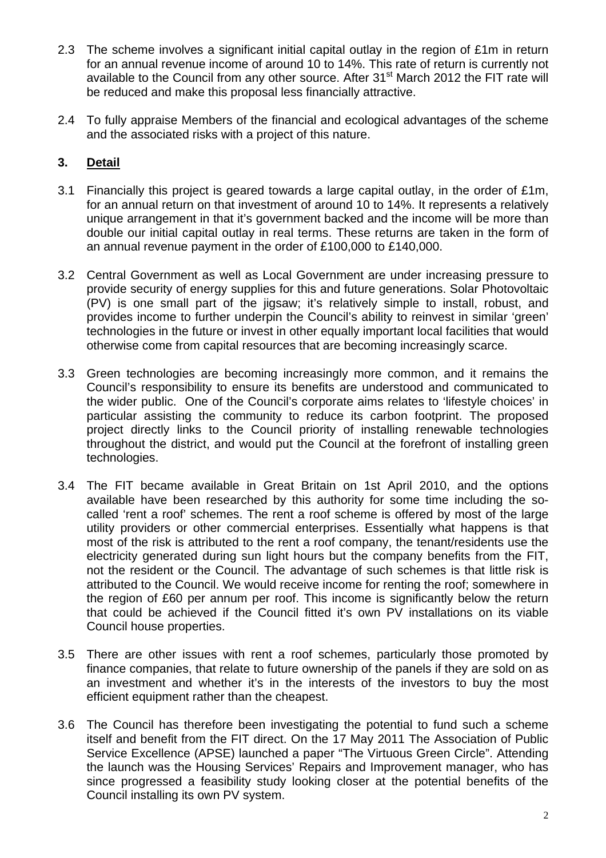- 2.3 The scheme involves a significant initial capital outlay in the region of £1m in return for an annual revenue income of around 10 to 14%. This rate of return is currently not available to the Council from any other source. After 31<sup>st</sup> March 2012 the FIT rate will be reduced and make this proposal less financially attractive.
- 2.4 To fully appraise Members of the financial and ecological advantages of the scheme and the associated risks with a project of this nature.

## **3. Detail**

- 3.1 Financially this project is geared towards a large capital outlay, in the order of £1m, for an annual return on that investment of around 10 to 14%. It represents a relatively unique arrangement in that it's government backed and the income will be more than double our initial capital outlay in real terms. These returns are taken in the form of an annual revenue payment in the order of £100,000 to £140,000.
- 3.2 Central Government as well as Local Government are under increasing pressure to provide security of energy supplies for this and future generations. Solar Photovoltaic (PV) is one small part of the jigsaw; it's relatively simple to install, robust, and provides income to further underpin the Council's ability to reinvest in similar 'green' technologies in the future or invest in other equally important local facilities that would otherwise come from capital resources that are becoming increasingly scarce.
- 3.3 Green technologies are becoming increasingly more common, and it remains the Council's responsibility to ensure its benefits are understood and communicated to the wider public. One of the Council's corporate aims relates to 'lifestyle choices' in particular assisting the community to reduce its carbon footprint. The proposed project directly links to the Council priority of installing renewable technologies throughout the district, and would put the Council at the forefront of installing green technologies.
- 3.4 The FIT became available in Great Britain on 1st April 2010, and the options available have been researched by this authority for some time including the socalled 'rent a roof' schemes. The rent a roof scheme is offered by most of the large utility providers or other commercial enterprises. Essentially what happens is that most of the risk is attributed to the rent a roof company, the tenant/residents use the electricity generated during sun light hours but the company benefits from the FIT, not the resident or the Council. The advantage of such schemes is that little risk is attributed to the Council. We would receive income for renting the roof; somewhere in the region of £60 per annum per roof. This income is significantly below the return that could be achieved if the Council fitted it's own PV installations on its viable Council house properties.
- 3.5 There are other issues with rent a roof schemes, particularly those promoted by finance companies, that relate to future ownership of the panels if they are sold on as an investment and whether it's in the interests of the investors to buy the most efficient equipment rather than the cheapest.
- 3.6 The Council has therefore been investigating the potential to fund such a scheme itself and benefit from the FIT direct. On the 17 May 2011 The Association of Public Service Excellence (APSE) launched a paper "The Virtuous Green Circle". Attending the launch was the Housing Services' Repairs and Improvement manager, who has since progressed a feasibility study looking closer at the potential benefits of the Council installing its own PV system.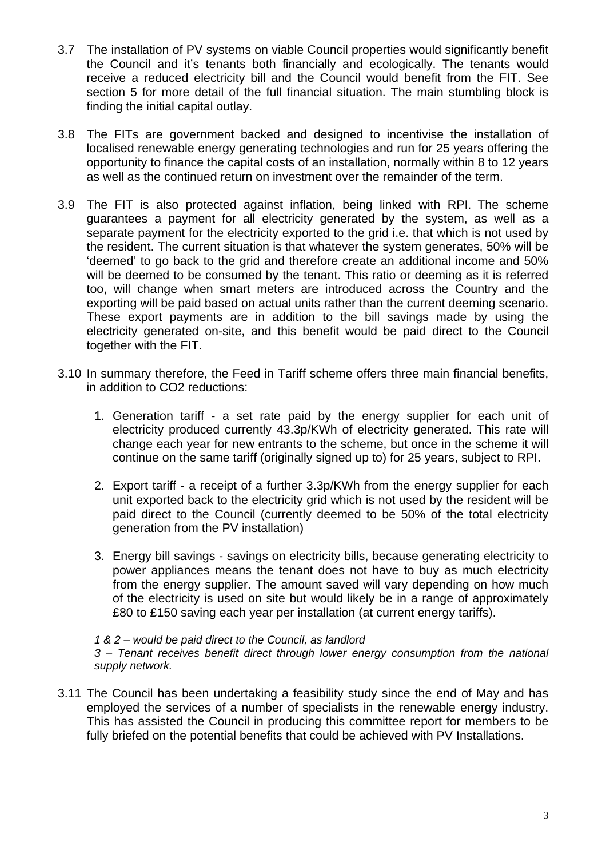- 3.7 The installation of PV systems on viable Council properties would significantly benefit the Council and it's tenants both financially and ecologically. The tenants would receive a reduced electricity bill and the Council would benefit from the FIT. See section 5 for more detail of the full financial situation. The main stumbling block is finding the initial capital outlay.
- 3.8 The FITs are government backed and designed to incentivise the installation of localised renewable energy generating technologies and run for 25 years offering the opportunity to finance the capital costs of an installation, normally within 8 to 12 years as well as the continued return on investment over the remainder of the term.
- 3.9 The FIT is also protected against inflation, being linked with RPI. The scheme guarantees a payment for all electricity generated by the system, as well as a separate payment for the electricity exported to the grid i.e. that which is not used by the resident. The current situation is that whatever the system generates, 50% will be 'deemed' to go back to the grid and therefore create an additional income and 50% will be deemed to be consumed by the tenant. This ratio or deeming as it is referred too, will change when smart meters are introduced across the Country and the exporting will be paid based on actual units rather than the current deeming scenario. These export payments are in addition to the bill savings made by using the electricity generated on-site, and this benefit would be paid direct to the Council together with the FIT.
- 3.10 In summary therefore, the Feed in Tariff scheme offers three main financial benefits, in addition to CO2 reductions:
	- 1. Generation tariff a set rate paid by the energy supplier for each unit of electricity produced currently 43.3p/KWh of electricity generated. This rate will change each year for new entrants to the scheme, but once in the scheme it will continue on the same tariff (originally signed up to) for 25 years, subject to RPI.
	- 2. Export tariff a receipt of a further 3.3p/KWh from the energy supplier for each unit exported back to the electricity grid which is not used by the resident will be paid direct to the Council (currently deemed to be 50% of the total electricity generation from the PV installation)
	- 3. Energy bill savings savings on electricity bills, because generating electricity to power appliances means the tenant does not have to buy as much electricity from the energy supplier. The amount saved will vary depending on how much of the electricity is used on site but would likely be in a range of approximately £80 to £150 saving each year per installation (at current energy tariffs).

*1 & 2 – would be paid direct to the Council, as landlord 3 – Tenant receives benefit direct through lower energy consumption from the national supply network.* 

3.11 The Council has been undertaking a feasibility study since the end of May and has employed the services of a number of specialists in the renewable energy industry. This has assisted the Council in producing this committee report for members to be fully briefed on the potential benefits that could be achieved with PV Installations.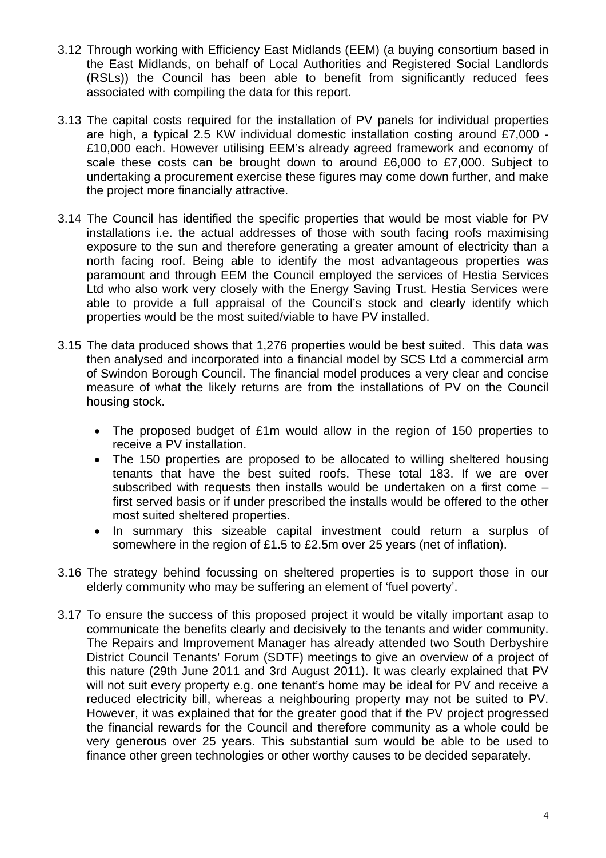- 3.12 Through working with Efficiency East Midlands (EEM) (a buying consortium based in the East Midlands, on behalf of Local Authorities and Registered Social Landlords (RSLs)) the Council has been able to benefit from significantly reduced fees associated with compiling the data for this report.
- 3.13 The capital costs required for the installation of PV panels for individual properties are high, a typical 2.5 KW individual domestic installation costing around £7,000 - £10,000 each. However utilising EEM's already agreed framework and economy of scale these costs can be brought down to around £6,000 to £7,000. Subject to undertaking a procurement exercise these figures may come down further, and make the project more financially attractive.
- 3.14 The Council has identified the specific properties that would be most viable for PV installations i.e. the actual addresses of those with south facing roofs maximising exposure to the sun and therefore generating a greater amount of electricity than a north facing roof. Being able to identify the most advantageous properties was paramount and through EEM the Council employed the services of Hestia Services Ltd who also work very closely with the Energy Saving Trust. Hestia Services were able to provide a full appraisal of the Council's stock and clearly identify which properties would be the most suited/viable to have PV installed.
- 3.15 The data produced shows that 1,276 properties would be best suited. This data was then analysed and incorporated into a financial model by SCS Ltd a commercial arm of Swindon Borough Council. The financial model produces a very clear and concise measure of what the likely returns are from the installations of PV on the Council housing stock.
	- The proposed budget of £1m would allow in the region of 150 properties to receive a PV installation.
	- The 150 properties are proposed to be allocated to willing sheltered housing tenants that have the best suited roofs. These total 183. If we are over subscribed with requests then installs would be undertaken on a first come – first served basis or if under prescribed the installs would be offered to the other most suited sheltered properties.
	- In summary this sizeable capital investment could return a surplus of somewhere in the region of £1.5 to £2.5m over 25 years (net of inflation).
- 3.16 The strategy behind focussing on sheltered properties is to support those in our elderly community who may be suffering an element of 'fuel poverty'.
- 3.17 To ensure the success of this proposed project it would be vitally important asap to communicate the benefits clearly and decisively to the tenants and wider community. The Repairs and Improvement Manager has already attended two South Derbyshire District Council Tenants' Forum (SDTF) meetings to give an overview of a project of this nature (29th June 2011 and 3rd August 2011). It was clearly explained that PV will not suit every property e.g. one tenant's home may be ideal for PV and receive a reduced electricity bill, whereas a neighbouring property may not be suited to PV. However, it was explained that for the greater good that if the PV project progressed the financial rewards for the Council and therefore community as a whole could be very generous over 25 years. This substantial sum would be able to be used to finance other green technologies or other worthy causes to be decided separately.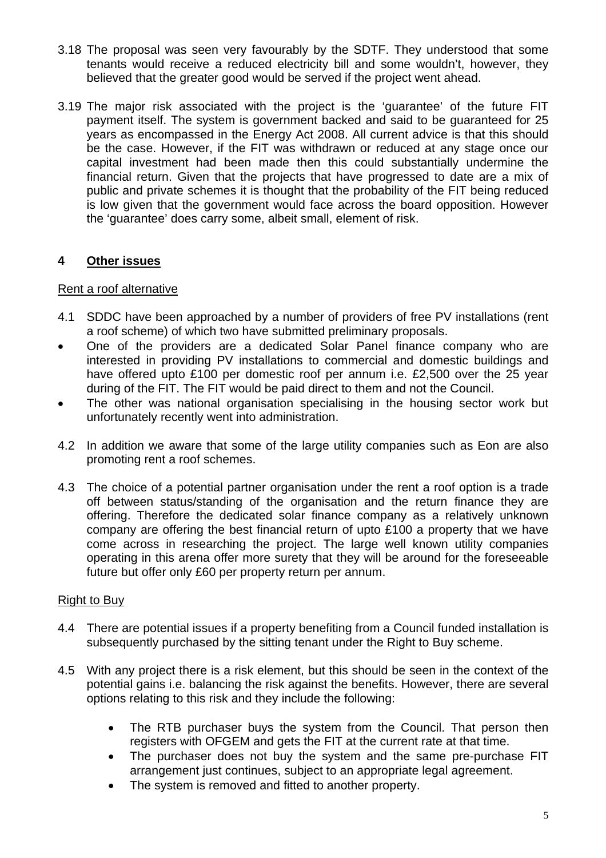- 3.18 The proposal was seen very favourably by the SDTF. They understood that some tenants would receive a reduced electricity bill and some wouldn't, however, they believed that the greater good would be served if the project went ahead.
- 3.19 The major risk associated with the project is the 'guarantee' of the future FIT payment itself. The system is government backed and said to be guaranteed for 25 years as encompassed in the Energy Act 2008. All current advice is that this should be the case. However, if the FIT was withdrawn or reduced at any stage once our capital investment had been made then this could substantially undermine the financial return. Given that the projects that have progressed to date are a mix of public and private schemes it is thought that the probability of the FIT being reduced is low given that the government would face across the board opposition. However the 'guarantee' does carry some, albeit small, element of risk.

## **4 Other issues**

#### Rent a roof alternative

- 4.1 SDDC have been approached by a number of providers of free PV installations (rent a roof scheme) of which two have submitted preliminary proposals.
- One of the providers are a dedicated Solar Panel finance company who are interested in providing PV installations to commercial and domestic buildings and have offered upto £100 per domestic roof per annum i.e. £2,500 over the 25 year during of the FIT. The FIT would be paid direct to them and not the Council.
- The other was national organisation specialising in the housing sector work but unfortunately recently went into administration.
- 4.2 In addition we aware that some of the large utility companies such as Eon are also promoting rent a roof schemes.
- 4.3 The choice of a potential partner organisation under the rent a roof option is a trade off between status/standing of the organisation and the return finance they are offering. Therefore the dedicated solar finance company as a relatively unknown company are offering the best financial return of upto £100 a property that we have come across in researching the project. The large well known utility companies operating in this arena offer more surety that they will be around for the foreseeable future but offer only £60 per property return per annum.

#### Right to Buy

- 4.4 There are potential issues if a property benefiting from a Council funded installation is subsequently purchased by the sitting tenant under the Right to Buy scheme.
- 4.5 With any project there is a risk element, but this should be seen in the context of the potential gains i.e. balancing the risk against the benefits. However, there are several options relating to this risk and they include the following:
	- The RTB purchaser buys the system from the Council. That person then registers with OFGEM and gets the FIT at the current rate at that time.
	- The purchaser does not buy the system and the same pre-purchase FIT arrangement just continues, subject to an appropriate legal agreement.
	- The system is removed and fitted to another property.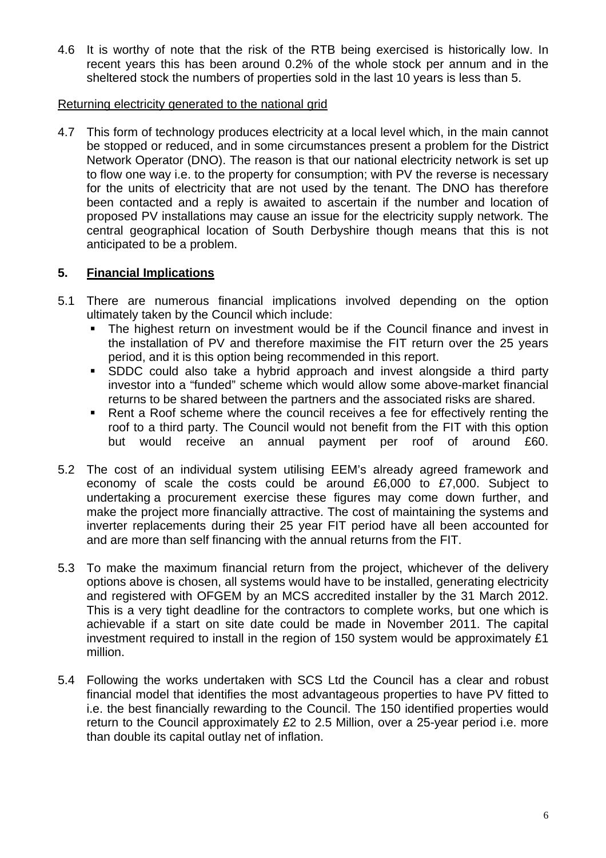4.6 It is worthy of note that the risk of the RTB being exercised is historically low. In recent years this has been around 0.2% of the whole stock per annum and in the sheltered stock the numbers of properties sold in the last 10 years is less than 5.

#### Returning electricity generated to the national grid

4.7 This form of technology produces electricity at a local level which, in the main cannot be stopped or reduced, and in some circumstances present a problem for the District Network Operator (DNO). The reason is that our national electricity network is set up to flow one way i.e. to the property for consumption; with PV the reverse is necessary for the units of electricity that are not used by the tenant. The DNO has therefore been contacted and a reply is awaited to ascertain if the number and location of proposed PV installations may cause an issue for the electricity supply network. The central geographical location of South Derbyshire though means that this is not anticipated to be a problem.

## **5. Financial Implications**

- 5.1 There are numerous financial implications involved depending on the option ultimately taken by the Council which include:
	- The highest return on investment would be if the Council finance and invest in the installation of PV and therefore maximise the FIT return over the 25 years period, and it is this option being recommended in this report.
	- SDDC could also take a hybrid approach and invest alongside a third party investor into a "funded" scheme which would allow some above-market financial returns to be shared between the partners and the associated risks are shared.
	- Rent a Roof scheme where the council receives a fee for effectively renting the roof to a third party. The Council would not benefit from the FIT with this option but would receive an annual payment per roof of around £60.
- 5.2 The cost of an individual system utilising EEM's already agreed framework and economy of scale the costs could be around £6,000 to £7,000. Subject to undertaking a procurement exercise these figures may come down further, and make the project more financially attractive. The cost of maintaining the systems and inverter replacements during their 25 year FIT period have all been accounted for and are more than self financing with the annual returns from the FIT.
- 5.3 To make the maximum financial return from the project, whichever of the delivery options above is chosen, all systems would have to be installed, generating electricity and registered with OFGEM by an MCS accredited installer by the 31 March 2012. This is a very tight deadline for the contractors to complete works, but one which is achievable if a start on site date could be made in November 2011. The capital investment required to install in the region of 150 system would be approximately £1 million.
- 5.4 Following the works undertaken with SCS Ltd the Council has a clear and robust financial model that identifies the most advantageous properties to have PV fitted to i.e. the best financially rewarding to the Council. The 150 identified properties would return to the Council approximately £2 to 2.5 Million, over a 25-year period i.e. more than double its capital outlay net of inflation.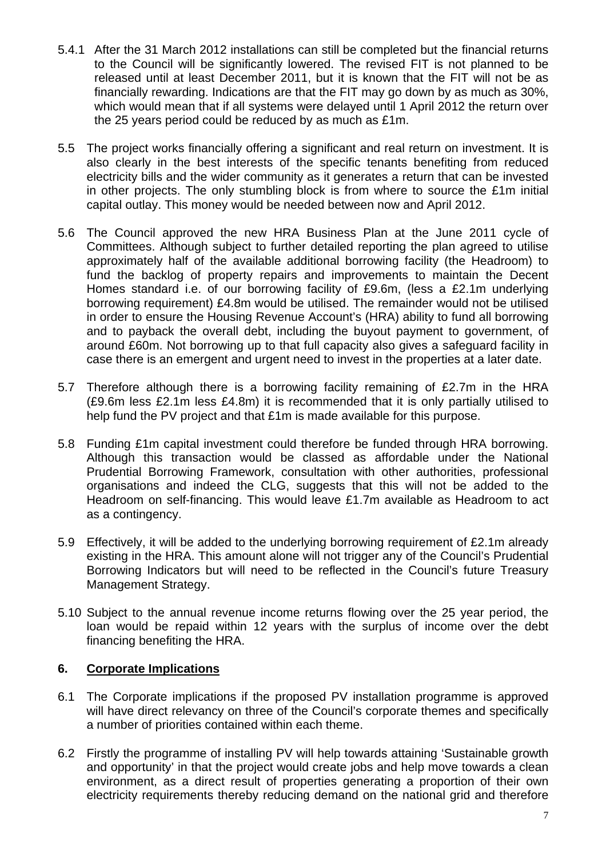- 5.4.1 After the 31 March 2012 installations can still be completed but the financial returns to the Council will be significantly lowered. The revised FIT is not planned to be released until at least December 2011, but it is known that the FIT will not be as financially rewarding. Indications are that the FIT may go down by as much as 30%, which would mean that if all systems were delayed until 1 April 2012 the return over the 25 years period could be reduced by as much as £1m.
- 5.5 The project works financially offering a significant and real return on investment. It is also clearly in the best interests of the specific tenants benefiting from reduced electricity bills and the wider community as it generates a return that can be invested in other projects. The only stumbling block is from where to source the £1m initial capital outlay. This money would be needed between now and April 2012.
- 5.6 The Council approved the new HRA Business Plan at the June 2011 cycle of Committees. Although subject to further detailed reporting the plan agreed to utilise approximately half of the available additional borrowing facility (the Headroom) to fund the backlog of property repairs and improvements to maintain the Decent Homes standard i.e. of our borrowing facility of £9.6m, (less a £2.1m underlying borrowing requirement) £4.8m would be utilised. The remainder would not be utilised in order to ensure the Housing Revenue Account's (HRA) ability to fund all borrowing and to payback the overall debt, including the buyout payment to government, of around £60m. Not borrowing up to that full capacity also gives a safeguard facility in case there is an emergent and urgent need to invest in the properties at a later date.
- 5.7 Therefore although there is a borrowing facility remaining of £2.7m in the HRA (£9.6m less £2.1m less £4.8m) it is recommended that it is only partially utilised to help fund the PV project and that £1m is made available for this purpose.
- 5.8 Funding £1m capital investment could therefore be funded through HRA borrowing. Although this transaction would be classed as affordable under the National Prudential Borrowing Framework, consultation with other authorities, professional organisations and indeed the CLG, suggests that this will not be added to the Headroom on self-financing. This would leave £1.7m available as Headroom to act as a contingency.
- 5.9 Effectively, it will be added to the underlying borrowing requirement of £2.1m already existing in the HRA. This amount alone will not trigger any of the Council's Prudential Borrowing Indicators but will need to be reflected in the Council's future Treasury Management Strategy.
- 5.10 Subject to the annual revenue income returns flowing over the 25 year period, the loan would be repaid within 12 years with the surplus of income over the debt financing benefiting the HRA.

## **6. Corporate Implications**

- 6.1 The Corporate implications if the proposed PV installation programme is approved will have direct relevancy on three of the Council's corporate themes and specifically a number of priorities contained within each theme.
- 6.2 Firstly the programme of installing PV will help towards attaining 'Sustainable growth and opportunity' in that the project would create jobs and help move towards a clean environment, as a direct result of properties generating a proportion of their own electricity requirements thereby reducing demand on the national grid and therefore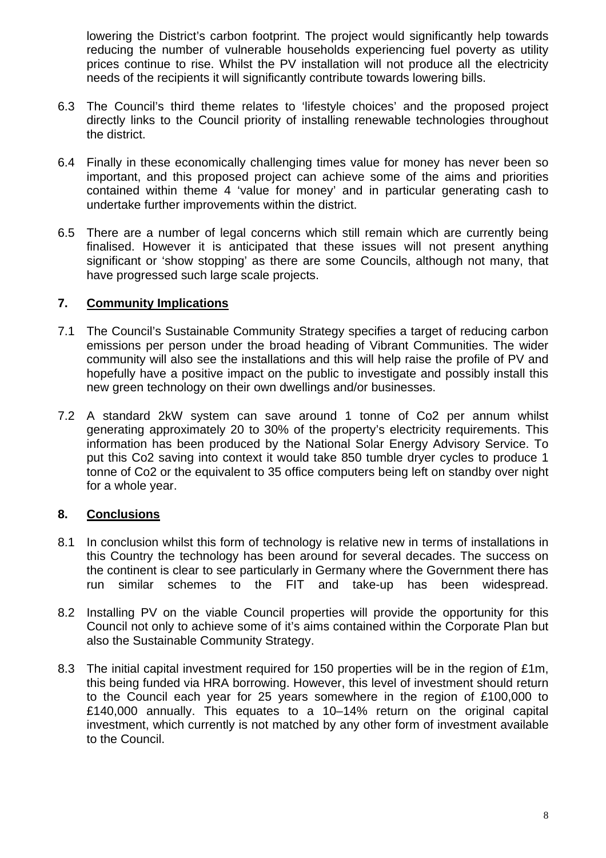lowering the District's carbon footprint. The project would significantly help towards reducing the number of vulnerable households experiencing fuel poverty as utility prices continue to rise. Whilst the PV installation will not produce all the electricity needs of the recipients it will significantly contribute towards lowering bills.

- 6.3 The Council's third theme relates to 'lifestyle choices' and the proposed project directly links to the Council priority of installing renewable technologies throughout the district.
- 6.4 Finally in these economically challenging times value for money has never been so important, and this proposed project can achieve some of the aims and priorities contained within theme 4 'value for money' and in particular generating cash to undertake further improvements within the district.
- 6.5 There are a number of legal concerns which still remain which are currently being finalised. However it is anticipated that these issues will not present anything significant or 'show stopping' as there are some Councils, although not many, that have progressed such large scale projects.

### **7. Community Implications**

- 7.1 The Council's Sustainable Community Strategy specifies a target of reducing carbon emissions per person under the broad heading of Vibrant Communities. The wider community will also see the installations and this will help raise the profile of PV and hopefully have a positive impact on the public to investigate and possibly install this new green technology on their own dwellings and/or businesses.
- 7.2 A standard 2kW system can save around 1 tonne of Co2 per annum whilst generating approximately 20 to 30% of the property's electricity requirements. This information has been produced by the National Solar Energy Advisory Service. To put this Co2 saving into context it would take 850 tumble dryer cycles to produce 1 tonne of Co2 or the equivalent to 35 office computers being left on standby over night for a whole year.

## **8. Conclusions**

- 8.1 In conclusion whilst this form of technology is relative new in terms of installations in this Country the technology has been around for several decades. The success on the continent is clear to see particularly in Germany where the Government there has run similar schemes to the FIT and take-up has been widespread.
- 8.2 Installing PV on the viable Council properties will provide the opportunity for this Council not only to achieve some of it's aims contained within the Corporate Plan but also the Sustainable Community Strategy.
- 8.3 The initial capital investment required for 150 properties will be in the region of £1m, this being funded via HRA borrowing. However, this level of investment should return to the Council each year for 25 years somewhere in the region of £100,000 to £140,000 annually. This equates to a 10–14% return on the original capital investment, which currently is not matched by any other form of investment available to the Council.